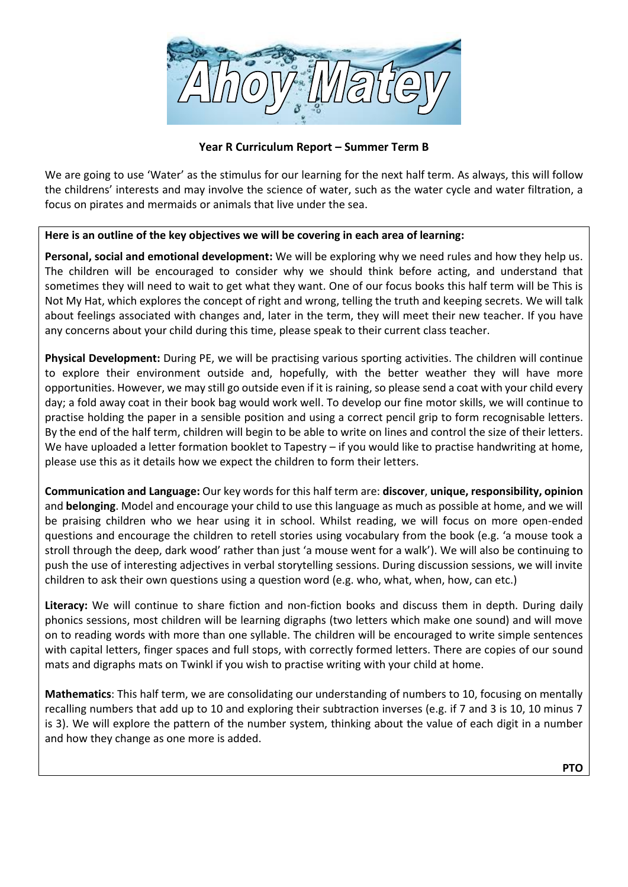

## **Year R Curriculum Report – Summer Term B**

We are going to use 'Water' as the stimulus for our learning for the next half term. As always, this will follow the childrens' interests and may involve the science of water, such as the water cycle and water filtration, a focus on pirates and mermaids or animals that live under the sea.

## **Here is an outline of the key objectives we will be covering in each area of learning:**

**Personal, social and emotional development:** We will be exploring why we need rules and how they help us. The children will be encouraged to consider why we should think before acting, and understand that sometimes they will need to wait to get what they want. One of our focus books this half term will be This is Not My Hat, which explores the concept of right and wrong, telling the truth and keeping secrets. We will talk about feelings associated with changes and, later in the term, they will meet their new teacher. If you have any concerns about your child during this time, please speak to their current class teacher.

**Physical Development:** During PE, we will be practising various sporting activities. The children will continue to explore their environment outside and, hopefully, with the better weather they will have more opportunities. However, we may still go outside even if it is raining, so please send a coat with your child every day; a fold away coat in their book bag would work well. To develop our fine motor skills, we will continue to practise holding the paper in a sensible position and using a correct pencil grip to form recognisable letters. By the end of the half term, children will begin to be able to write on lines and control the size of their letters. We have uploaded a letter formation booklet to Tapestry – if you would like to practise handwriting at home, please use this as it details how we expect the children to form their letters.

**Communication and Language:** Our key words for this half term are: **discover**, **unique, responsibility, opinion**  and **belonging**. Model and encourage your child to use this language as much as possible at home, and we will be praising children who we hear using it in school. Whilst reading, we will focus on more open-ended questions and encourage the children to retell stories using vocabulary from the book (e.g. 'a mouse took a stroll through the deep, dark wood' rather than just 'a mouse went for a walk'). We will also be continuing to push the use of interesting adjectives in verbal storytelling sessions. During discussion sessions, we will invite children to ask their own questions using a question word (e.g. who, what, when, how, can etc.)

**Literacy:** We will continue to share fiction and non-fiction books and discuss them in depth. During daily phonics sessions, most children will be learning digraphs (two letters which make one sound) and will move on to reading words with more than one syllable. The children will be encouraged to write simple sentences with capital letters, finger spaces and full stops, with correctly formed letters. There are copies of our sound mats and digraphs mats on Twinkl if you wish to practise writing with your child at home.

**Mathematics**: This half term, we are consolidating our understanding of numbers to 10, focusing on mentally recalling numbers that add up to 10 and exploring their subtraction inverses (e.g. if 7 and 3 is 10, 10 minus 7 is 3). We will explore the pattern of the number system, thinking about the value of each digit in a number and how they change as one more is added.